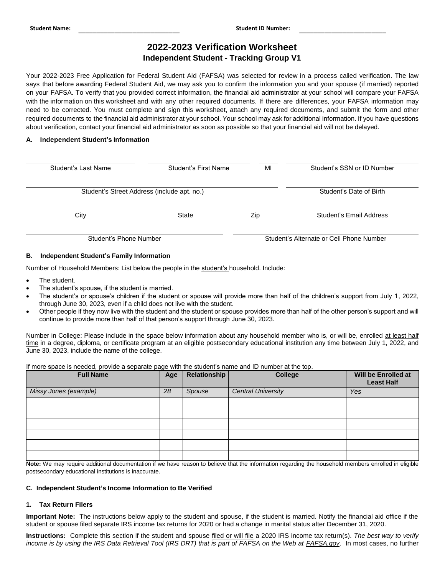\_\_\_\_\_\_\_\_\_\_\_\_\_\_\_\_\_\_\_\_\_\_\_\_\_\_\_\_ \_\_\_\_\_\_\_\_\_\_\_\_\_\_\_\_\_\_\_\_\_\_\_\_ **Student Name: Student ID Number:** 

# **2022-2023 Verification Worksheet Independent Student - Tracking Group V1**

Your 2022-2023 Free Application for Federal Student Aid (FAFSA) was selected for review in a process called verification. The law says that before awarding Federal Student Aid, we may ask you to confirm the information you and your spouse (if married) reported on your FAFSA. To verify that you provided correct information, the financial aid administrator at your school will compare your FAFSA with the information on this worksheet and with any other required documents. If there are differences, your FAFSA information may need to be corrected. You must complete and sign this worksheet, attach any required documents, and submit the form and other required documents to the financial aid administrator at your school. Your school may ask for additional information. If you have questions about verification, contact your financial aid administrator as soon as possible so that your financial aid will not be delayed.

# **A. Independent Student's Information**

| Student's Last Name                         | Student's First Name | MI                                       | Student's SSN or ID Number |  |
|---------------------------------------------|----------------------|------------------------------------------|----------------------------|--|
| Student's Street Address (include apt. no.) |                      |                                          | Student's Date of Birth    |  |
| City                                        | <b>State</b>         | Zip                                      | Student's Email Address    |  |
| Student's Phone Number                      |                      | Student's Alternate or Cell Phone Number |                            |  |

# **B. Independent Student's Family Information**

Number of Household Members: List below the people in the student's household. Include:

- The student.
- The student's spouse, if the student is married.
- The student's or spouse's children if the student or spouse will provide more than half of the children's support from July 1, 2022, through June 30, 2023, even if a child does not live with the student.
- Other people if they now live with the student and the student or spouse provides more than half of the other person's support and will continue to provide more than half of that person's support through June 30, 2023.

Number in College: Please include in the space below information about any household member who is, or will be, enrolled at least half time in a degree, diploma, or certificate program at an eligible postsecondary educational institution any time between July 1, 2022, and June 30, 2023, include the name of the college.

If more space is needed, provide a separate page with the student's name and ID number at the top.

| <b>Full Name</b>      | Age | <b>Relationship</b> | <b>College</b>            | Will be Enrolled at<br><b>Least Half</b> |
|-----------------------|-----|---------------------|---------------------------|------------------------------------------|
| Missy Jones (example) | 28  | Spouse              | <b>Central University</b> | Yes                                      |
|                       |     |                     |                           |                                          |
|                       |     |                     |                           |                                          |
|                       |     |                     |                           |                                          |
|                       |     |                     |                           |                                          |
|                       |     |                     |                           |                                          |
|                       |     |                     |                           |                                          |

 **Note:** We may require additional documentation if we have reason to believe that the information regarding the household members enrolled in eligible postsecondary educational institutions is inaccurate.

## **C. Independent Student's Income Information to Be Verified**

## **1. Tax Return Filers**

 **Important Note:** The instructions below apply to the student and spouse, if the student is married. Notify the financial aid office if the student or spouse filed separate IRS income tax returns for 2020 or had a change in marital status after December 31, 2020.

 **Instructions:** Complete this section if the student and spouse filed or will file a 2020 IRS income tax return(s). *The best way to verify income is by using the IRS Data Retrieval Tool (IRS DRT) that is part of FAFSA on the Web at [FAFSA.gov](https://FAFSA.gov). In most cases, no further*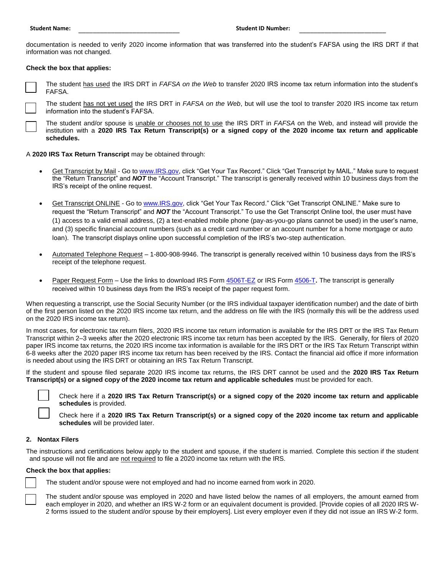documentation is needed to verify 2020 income information that was transferred into the student's FAFSA using the IRS DRT if that information was not changed.

# **Check the box that applies:**

 The student has used the IRS DRT in *FAFSA on the Web* to transfer 2020 IRS income tax return information into the student's □ FAFSA.

 The student has not yet used the IRS DRT in *FAFSA on the Web*, but will use the tool to transfer 2020 IRS income tax return information into the student's FAFSA. □

 The student and/or spouse is unable or chooses not to use the IRS DRT in *FAFSA* on the Web, and instead will provide the institution with a **2020 IRS Tax Return Transcript(s) or a signed copy of the 2020 income tax return and applicable**  □ i **schedules.** 

A **2020 IRS Tax Return Transcript** may be obtained through:

- <u>Get Transcript by Mail</u> Go to <u>www.IRS.gov</u>, click "Get Your Tax Record." Click "Get Transcript by MAIL." Make sure to request the "Return Transcript" and *NOT* the "Account Transcript." The transcript is generally received within 10 business days from the IRS's receipt of the online request.
- (1) access to a valid email address, (2) a text-enabled mobile phone (pay-as-you-go plans cannot be used) in the user's name, and (3) specific financial account numbers (such as a credit card number or an account number for a home mortgage or auto loan). The transcript displays online upon successful completion of the IRS's two-step authentication. Get Transcript ONLINE - Go t[o www.IRS.gov,](http://www.irs.gov/) click "Get Your Tax Record." Click "Get Transcript ONLINE." Make sure to request the "Return Transcript" and *NOT* the "Account Transcript." To use the Get Transcript Online tool, the user must have
- Automated Telephone Request 1-800-908-9946. The transcript is generally received within 10 business days from the IRS's receipt of the telephone request.
- Paper Request Form Use the links to download IRS For[m 4506T-EZ](https://www.irs.gov/pub/irs-pdf/f4506tez.pdf) or IRS For[m 4506-T](https://www.irs.gov/pub/irs-pdf/f4506t.pdf). The transcript is generally received within 10 business days from the IRS's receipt of the paper request form.

 When requesting a transcript, use the Social Security Number (or the IRS individual taxpayer identification number) and the date of birth of the first person listed on the 2020 IRS income tax return, and the address on file with the IRS (normally this will be the address used on the 2020 IRS income tax return).

 Transcript within 2–3 weeks after the 2020 electronic IRS income tax return has been accepted by the IRS. Generally, for filers of 2020 6-8 weeks after the 2020 paper IRS income tax return has been received by the IRS. Contact the financial aid office if more information is needed about using the IRS DRT or obtaining an IRS Tax Return Transcript. In most cases, for electronic tax return filers, 2020 IRS income tax return information is available for the IRS DRT or the IRS Tax Return paper IRS income tax returns, the 2020 IRS income tax information is available for the IRS DRT or the IRS Tax Return Transcript within

 If the student and spouse filed separate 2020 IRS income tax returns, the IRS DRT cannot be used and the **2020 IRS Tax Return Transcript(s) or a signed copy of the 2020 income tax return and applicable schedules** must be provided for each.

□

 Check here if a **2020 IRS Tax Return Transcript(s) or a signed copy of the 2020 income tax return and applicable schedules** is provided.

 Check here if a **2020 IRS Tax Return Transcript(s) or a signed copy of the 2020 income tax return and applicable schedules** will be provided later.

## **2. Nontax Filers**

□

 The instructions and certifications below apply to the student and spouse, if the student is married. Complete this section if the student and spouse will not file and are not required to file a 2020 income tax return with the IRS.

#### **Check the box that applies:**

□

The student and/or spouse were not employed and had no income earned from work in 2020.

 each employer in 2020, and whether an IRS W-2 form or an equivalent document is provided. [Provide copies of all 2020 IRS W- 2 forms issued to the student and/or spouse by their employers]. List every employer even if they did not issue an IRS W-2 form. □ The student and/or spouse was employed in 2020 and have listed below the names of all employers, the amount earned from